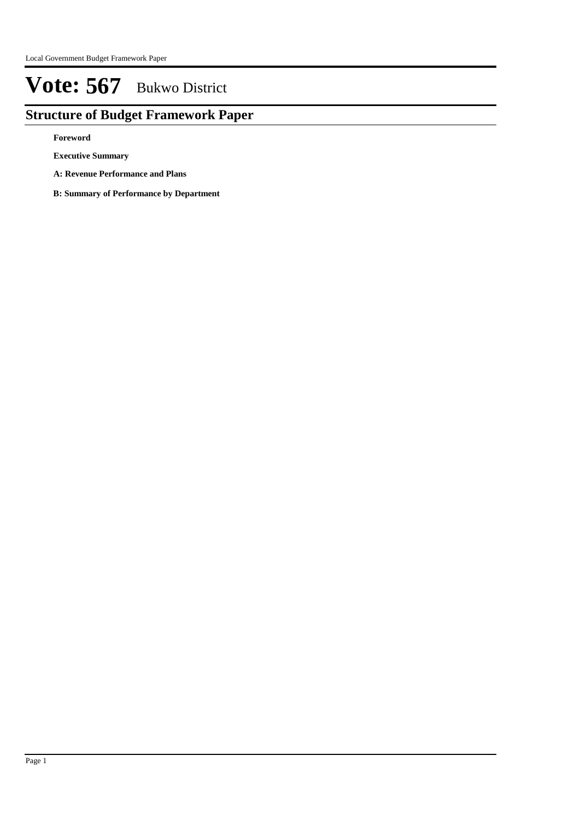## **Structure of Budget Framework Paper**

**Foreword**

**Executive Summary**

- **A: Revenue Performance and Plans**
- **B: Summary of Performance by Department**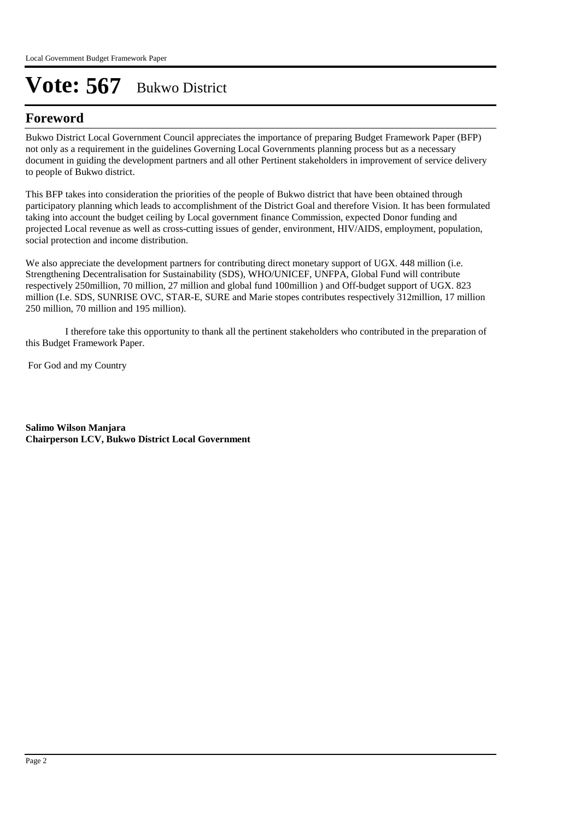## **Foreword**

Bukwo District Local Government Council appreciates the importance of preparing Budget Framework Paper (BFP) not only as a requirement in the guidelines Governing Local Governments planning process but as a necessary document in guiding the development partners and all other Pertinent stakeholders in improvement of service delivery to people of Bukwo district. 

This BFP takes into consideration the priorities of the people of Bukwo district that have been obtained through participatory planning which leads to accomplishment of the District Goal and therefore Vision. It has been formulated taking into account the budget ceiling by Local government finance Commission, expected Donor funding and projected Local revenue as well as cross-cutting issues of gender, environment, HIV/AIDS, employment, population, social protection and income distribution.

We also appreciate the development partners for contributing direct monetary support of UGX. 448 million (i.e. Strengthening Decentralisation for Sustainability (SDS), WHO/UNICEF, UNFPA, Global Fund will contribute respectively 250million, 70 million, 27 million and global fund 100million ) and Off-budget support of UGX. 823 million (I.e. SDS, SUNRISE OVC, STAR-E, SURE and Marie stopes contributes respectively 312million, 17 million 250 million, 70 million and 195 million).

 I therefore take this opportunity to thank all the pertinent stakeholders who contributed in the preparation of this Budget Framework Paper.

For God and my Country

**Salimo Wilson Manjara Chairperson LCV, Bukwo District Local Government**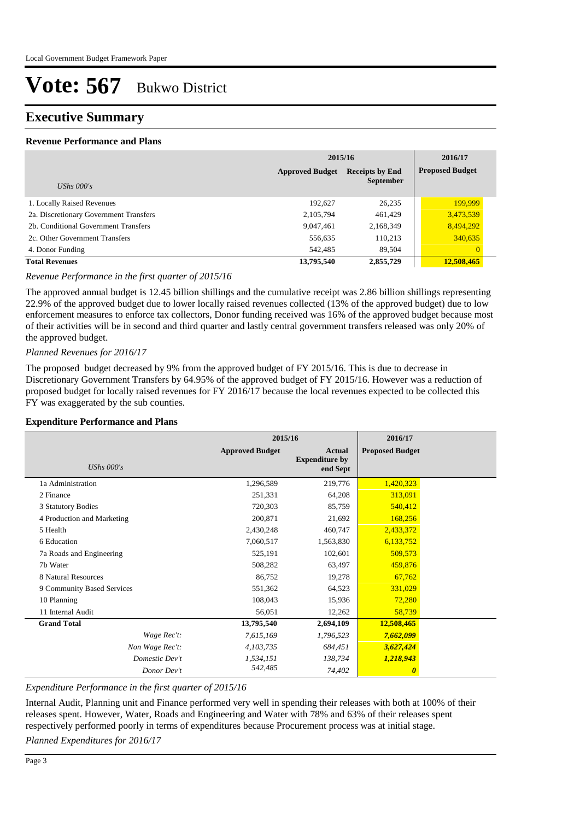### **Executive Summary**

#### **Revenue Performance and Plans**

|                                        | 2015/16                                                              | 2016/17   |                        |
|----------------------------------------|----------------------------------------------------------------------|-----------|------------------------|
|                                        | <b>Approved Budget</b><br><b>Receipts by End</b><br><b>September</b> |           | <b>Proposed Budget</b> |
| UShs $000's$                           |                                                                      |           |                        |
| 1. Locally Raised Revenues             | 192,627                                                              | 26,235    | 199,999                |
| 2a. Discretionary Government Transfers | 2,105,794                                                            | 461,429   | 3,473,539              |
| 2b. Conditional Government Transfers   | 9,047,461                                                            | 2,168,349 | 8,494,292              |
| 2c. Other Government Transfers         | 556,635                                                              | 110,213   | 340,635                |
| 4. Donor Funding                       | 542,485                                                              | 89,504    | $\overline{0}$         |
| <b>Total Revenues</b>                  | 13,795,540                                                           | 2,855,729 | 12,508,465             |

#### *Revenue Performance in the first quarter of 2015/16*

The approved annual budget is 12.45 billion shillings and the cumulative receipt was 2.86 billion shillings representing 22.9% of the approved budget due to lower locally raised revenues collected (13% of the approved budget) due to low enforcement measures to enforce tax collectors, Donor funding received was 16% of the approved budget because most of their activities will be in second and third quarter and lastly central government transfers released was only 20% of the approved budget.

#### *Planned Revenues for 2016/17*

The proposed budget decreased by 9% from the approved budget of FY 2015/16. This is due to decrease in Discretionary Government Transfers by 64.95% of the approved budget of FY 2015/16. However was a reduction of proposed budget for locally raised revenues for FY 2016/17 because the local revenues expected to be collected this FY was exaggerated by the sub counties.

#### **Expenditure Performance and Plans**

|                            | 2015/16                |                                                    | 2016/17                |  |
|----------------------------|------------------------|----------------------------------------------------|------------------------|--|
| <b>UShs</b> 000's          | <b>Approved Budget</b> | <b>Actual</b><br><b>Expenditure by</b><br>end Sept | <b>Proposed Budget</b> |  |
| 1a Administration          | 1,296,589              | 219,776                                            | 1,420,323              |  |
| 2 Finance                  | 251,331                | 64,208                                             | 313,091                |  |
| 3 Statutory Bodies         | 720,303                | 85,759                                             | 540,412                |  |
| 4 Production and Marketing | 200,871                | 21,692                                             | 168,256                |  |
| 5 Health                   | 2,430,248              | 460,747                                            | 2,433,372              |  |
| 6 Education                | 7,060,517              | 1,563,830                                          | 6,133,752              |  |
| 7a Roads and Engineering   | 525,191                | 102,601                                            | 509,573                |  |
| 7b Water                   | 508,282                | 63,497                                             | 459,876                |  |
| 8 Natural Resources        | 86,752                 | 19,278                                             | 67,762                 |  |
| 9 Community Based Services | 551,362                | 64,523                                             | 331,029                |  |
| 10 Planning                | 108,043                | 15,936                                             | 72,280                 |  |
| 11 Internal Audit          | 56,051                 | 12,262                                             | 58,739                 |  |
| <b>Grand Total</b>         | 13,795,540             | 2,694,109                                          | 12,508,465             |  |
| Wage Rec't:                | 7,615,169              | 1,796,523                                          | 7,662,099              |  |
| Non Wage Rec't:            | 4,103,735              | 684,451                                            | 3,627,424              |  |
| Domestic Dev't             | 1,534,151              | 138,734                                            | 1,218,943              |  |
| Donor Dev't                | 542,485                | 74,402                                             | $\boldsymbol{\theta}$  |  |

*Expenditure Performance in the first quarter of 2015/16*

Internal Audit, Planning unit and Finance performed very well in spending their releases with both at 100% of their releases spent. However, Water, Roads and Engineering and Water with 78% and 63% of their releases spent respectively performed poorly in terms of expenditures because Procurement process was at initial stage.

*Planned Expenditures for 2016/17*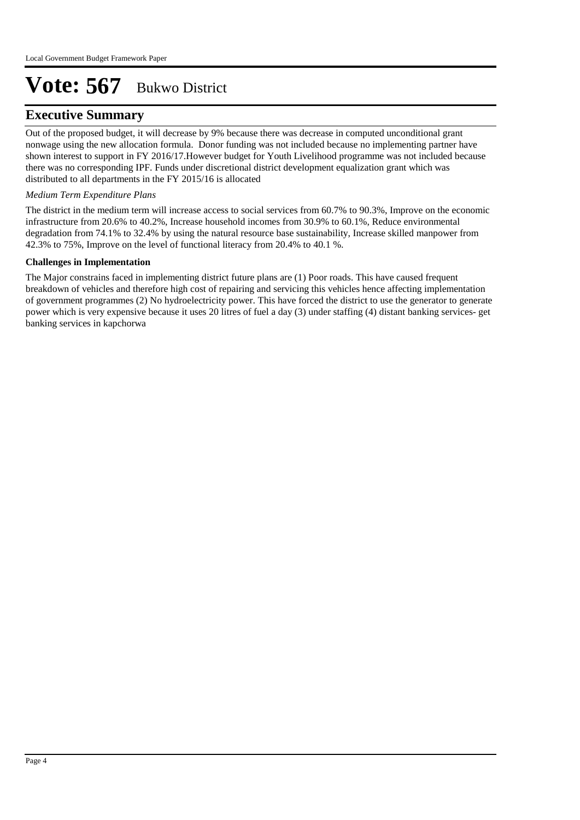### **Executive Summary**

Out of the proposed budget, it will decrease by 9% because there was decrease in computed unconditional grant nonwage using the new allocation formula. Donor funding was not included because no implementing partner have shown interest to support in FY 2016/17.However budget for Youth Livelihood programme was not included because there was no corresponding IPF. Funds under discretional district development equalization grant which was distributed to all departments in the FY 2015/16 is allocated

#### *Medium Term Expenditure Plans*

The district in the medium term will increase access to social services from 60.7% to 90.3%, Improve on the economic infrastructure from 20.6% to 40.2%, Increase household incomes from 30.9% to 60.1%, Reduce environmental degradation from 74.1% to 32.4% by using the natural resource base sustainability, Increase skilled manpower from 42.3% to 75%, Improve on the level of functional literacy from 20.4% to 40.1 %.

#### **Challenges in Implementation**

The Major constrains faced in implementing district future plans are (1) Poor roads. This have caused frequent breakdown of vehicles and therefore high cost of repairing and servicing this vehicles hence affecting implementation of government programmes (2) No hydroelectricity power. This have forced the district to use the generator to generate power which is very expensive because it uses 20 litres of fuel a day (3) under staffing (4) distant banking services- get banking services in kapchorwa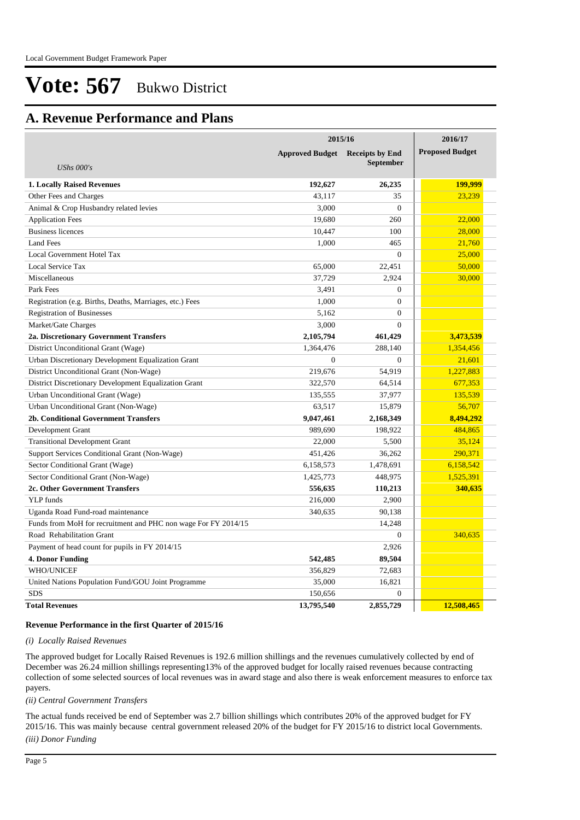### **A. Revenue Performance and Plans**

|                                                                | 2015/16                | 2016/17                |                        |
|----------------------------------------------------------------|------------------------|------------------------|------------------------|
|                                                                | <b>Approved Budget</b> | <b>Receipts by End</b> | <b>Proposed Budget</b> |
| <b>UShs 000's</b>                                              |                        | <b>September</b>       |                        |
| <b>1. Locally Raised Revenues</b>                              | 192,627                | 26,235                 | 199,999                |
| Other Fees and Charges                                         | 43,117                 | 35                     | 23,239                 |
| Animal & Crop Husbandry related levies                         | 3,000                  | $\theta$               |                        |
| <b>Application Fees</b>                                        | 19,680                 | 260                    | 22,000                 |
| <b>Business licences</b>                                       | 10,447                 | 100                    | 28,000                 |
| Land Fees                                                      | 1,000                  | 465                    | 21,760                 |
| Local Government Hotel Tax                                     |                        | $\overline{0}$         | 25,000                 |
| Local Service Tax                                              | 65,000                 | 22,451                 | 50,000                 |
| Miscellaneous                                                  | 37,729                 | 2,924                  | 30,000                 |
| Park Fees                                                      | 3,491                  | $\overline{0}$         |                        |
| Registration (e.g. Births, Deaths, Marriages, etc.) Fees       | 1,000                  | $\overline{0}$         |                        |
| <b>Registration of Businesses</b>                              | 5,162                  | $\mathbf{0}$           |                        |
| Market/Gate Charges                                            | 3,000                  | $\theta$               |                        |
| 2a. Discretionary Government Transfers                         | 2,105,794              | 461,429                | 3,473,539              |
| District Unconditional Grant (Wage)                            | 1,364,476              | 288,140                | 1,354,456              |
| Urban Discretionary Development Equalization Grant             | $\overline{0}$         | $\overline{0}$         | 21,601                 |
| District Unconditional Grant (Non-Wage)                        | 219,676                | 54,919                 | 1,227,883              |
| District Discretionary Development Equalization Grant          | 322,570                | 64,514                 | 677,353                |
| Urban Unconditional Grant (Wage)                               | 135,555                | 37,977                 | 135,539                |
| Urban Unconditional Grant (Non-Wage)                           | 63,517                 | 15,879                 | 56,707                 |
| 2b. Conditional Government Transfers                           | 9,047,461              | 2,168,349              | 8,494,292              |
| Development Grant                                              | 989,690                | 198,922                | 484,865                |
| <b>Transitional Development Grant</b>                          | 22,000                 | 5,500                  | 35,124                 |
| Support Services Conditional Grant (Non-Wage)                  | 451,426                | 36,262                 | 290,371                |
| Sector Conditional Grant (Wage)                                | 6,158,573              | 1,478,691              | 6,158,542              |
| Sector Conditional Grant (Non-Wage)                            | 1,425,773              | 448,975                | 1,525,391              |
| 2c. Other Government Transfers                                 | 556,635                | 110,213                | 340,635                |
| YLP funds                                                      | 216,000                | 2,900                  |                        |
| Uganda Road Fund-road maintenance                              | 340,635                | 90,138                 |                        |
| Funds from MoH for recruitment and PHC non wage For FY 2014/15 |                        | 14,248                 |                        |
| Road Rehabilitation Grant                                      |                        | $\mathbf{0}$           | 340,635                |
| Payment of head count for pupils in FY 2014/15                 |                        | 2,926                  |                        |
| 4. Donor Funding                                               | 542,485                | 89,504                 |                        |
| <b>WHO/UNICEF</b>                                              | 356,829                | 72,683                 |                        |
| United Nations Population Fund/GOU Joint Programme             | 35,000                 | 16,821                 |                        |
| <b>SDS</b>                                                     | 150,656                | $\overline{0}$         |                        |
| <b>Total Revenues</b>                                          | 13,795,540             | 2,855,729              | 12,508,465             |

#### **Revenue Performance in the first Quarter of 2015/16**

#### *(i) Locally Raised Revenues*

The approved budget for Locally Raised Revenues is 192.6 million shillings and the revenues cumulatively collected by end of December was 26.24 million shillings representing13% of the approved budget for locally raised revenues because contracting collection of some selected sources of local revenues was in award stage and also there is weak enforcement measures to enforce tax payers.

*(ii) Central Government Transfers*

The actual funds received be end of September was 2.7 billion shillings which contributes 20% of the approved budget for FY 2015/16. This was mainly because central government released 20% of the budget for FY 2015/16 to district local Governments.

*(iii) Donor Funding*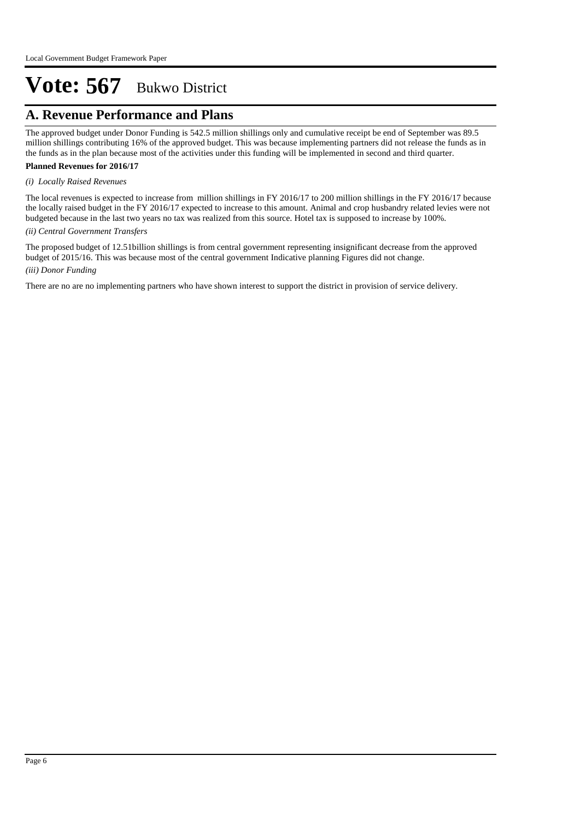## **A. Revenue Performance and Plans**

The approved budget under Donor Funding is 542.5 million shillings only and cumulative receipt be end of September was 89.5 million shillings contributing 16% of the approved budget. This was because implementing partners did not release the funds as in the funds as in the plan because most of the activities under this funding will be implemented in second and third quarter.

#### **Planned Revenues for 2016/17**

#### *(i) Locally Raised Revenues*

The local revenues is expected to increase from million shillings in FY 2016/17 to 200 million shillings in the FY 2016/17 because the locally raised budget in the FY 2016/17 expected to increase to this amount. Animal and crop husbandry related levies were not budgeted because in the last two years no tax was realized from this source. Hotel tax is supposed to increase by 100%.

#### *(ii) Central Government Transfers*

*(iii) Donor Funding* The proposed budget of 12.51billion shillings is from central government representing insignificant decrease from the approved budget of 2015/16. This was because most of the central government Indicative planning Figures did not change.

There are no are no implementing partners who have shown interest to support the district in provision of service delivery.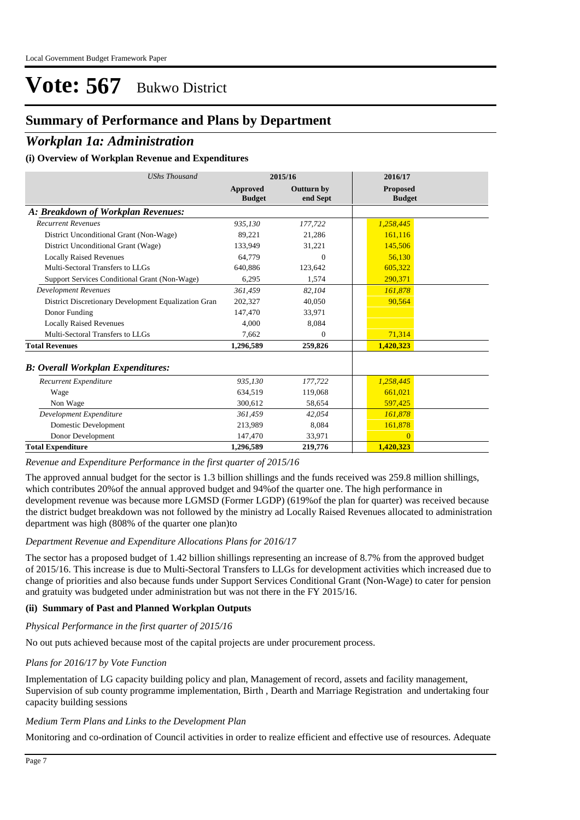### **Summary of Performance and Plans by Department**

### *Workplan 1a: Administration*

#### **(i) Overview of Workplan Revenue and Expenditures**

| <b>UShs Thousand</b>                                 |                           | 2015/16                       | 2016/17                          |  |
|------------------------------------------------------|---------------------------|-------------------------------|----------------------------------|--|
|                                                      | Approved<br><b>Budget</b> | <b>Outturn by</b><br>end Sept | <b>Proposed</b><br><b>Budget</b> |  |
| A: Breakdown of Workplan Revenues:                   |                           |                               |                                  |  |
| <b>Recurrent Revenues</b>                            | 935,130                   | 177,722                       | 1,258,445                        |  |
| District Unconditional Grant (Non-Wage)              | 89,221                    | 21,286                        | 161.116                          |  |
| District Unconditional Grant (Wage)                  | 133.949                   | 31,221                        | 145,506                          |  |
| <b>Locally Raised Revenues</b>                       | 64.779                    | $\Omega$                      | 56.130                           |  |
| Multi-Sectoral Transfers to LLGs                     | 640,886                   | 123.642                       | 605.322                          |  |
| Support Services Conditional Grant (Non-Wage)        | 6,295                     | 1,574                         | 290,371                          |  |
| <b>Development Revenues</b>                          | 361.459                   | 82.104                        | 161.878                          |  |
| District Discretionary Development Equalization Gran | 202.327                   | 40,050                        | 90,564                           |  |
| Donor Funding                                        | 147,470                   | 33,971                        |                                  |  |
| <b>Locally Raised Revenues</b>                       | 4.000                     | 8,084                         |                                  |  |
| Multi-Sectoral Transfers to LLGs                     | 7.662                     | 0                             | 71,314                           |  |
| <b>Total Revenues</b>                                | 1,296,589                 | 259,826                       | 1,420,323                        |  |
| <b>B: Overall Workplan Expenditures:</b>             |                           |                               |                                  |  |
| Recurrent Expenditure                                | 935,130                   | 177,722                       | 1,258,445                        |  |
| Wage                                                 | 634.519                   | 119,068                       | 661.021                          |  |
| Non Wage                                             | 300.612                   | 58,654                        | 597,425                          |  |
| Development Expenditure                              | 361.459                   | 42.054                        | 161.878                          |  |
| Domestic Development                                 | 213.989                   | 8.084                         | 161,878                          |  |
| Donor Development                                    | 147,470                   | 33,971                        | $\Omega$                         |  |
| <b>Total Expenditure</b>                             | 1,296,589                 | 219,776                       | 1,420,323                        |  |

#### *Revenue and Expenditure Performance in the first quarter of 2015/16*

The approved annual budget for the sector is 1.3 billion shillings and the funds received was 259.8 million shillings, which contributes 20%of the annual approved budget and 94%of the quarter one. The high performance in development revenue was because more LGMSD (Former LGDP) (619%of the plan for quarter) was received because the district budget breakdown was not followed by the ministry ad Locally Raised Revenues allocated to administration department was high (808% of the quarter one plan)to

#### *Department Revenue and Expenditure Allocations Plans for 2016/17*

The sector has a proposed budget of 1.42 billion shillings representing an increase of 8.7% from the approved budget of 2015/16. This increase is due to Multi-Sectoral Transfers to LLGs for development activities which increased due to change of priorities and also because funds under Support Services Conditional Grant (Non-Wage) to cater for pension and gratuity was budgeted under administration but was not there in the FY 2015/16.

#### **(ii) Summary of Past and Planned Workplan Outputs**

*Physical Performance in the first quarter of 2015/16*

No out puts achieved because most of the capital projects are under procurement process.

#### *Plans for 2016/17 by Vote Function*

Implementation of LG capacity building policy and plan, Management of record, assets and facility management, Supervision of sub county programme implementation, Birth , Dearth and Marriage Registration and undertaking four capacity building sessions

#### *Medium Term Plans and Links to the Development Plan*

Monitoring and co-ordination of Council activities in order to realize efficient and effective use of resources. Adequate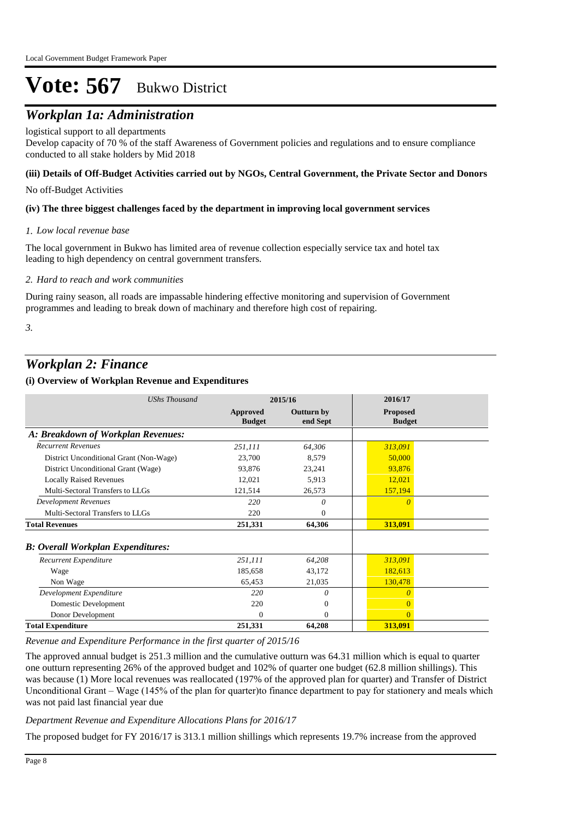## *Workplan 1a: Administration*

#### logistical support to all departments

Develop capacity of 70 % of the staff Awareness of Government policies and regulations and to ensure compliance conducted to all stake holders by Mid 2018

#### **(iii) Details of Off-Budget Activities carried out by NGOs, Central Government, the Private Sector and Donors**

No off-Budget Activities

#### **(iv) The three biggest challenges faced by the department in improving local government services**

#### *Low local revenue base 1.*

The local government in Bukwo has limited area of revenue collection especially service tax and hotel tax leading to high dependency on central government transfers.

#### *Hard to reach and work communities 2.*

During rainy season, all roads are impassable hindering effective monitoring and supervision of Government programmes and leading to break down of machinary and therefore high cost of repairing.

*3.*

### *Workplan 2: Finance*

#### **(i) Overview of Workplan Revenue and Expenditures**

| <b>UShs Thousand</b>                      | 2015/16                          |                               | 2016/17                          |
|-------------------------------------------|----------------------------------|-------------------------------|----------------------------------|
|                                           | <b>Approved</b><br><b>Budget</b> | <b>Outturn by</b><br>end Sept | <b>Proposed</b><br><b>Budget</b> |
| A: Breakdown of Workplan Revenues:        |                                  |                               |                                  |
| <b>Recurrent Revenues</b>                 | 251,111                          | 64,306                        | 313,091                          |
| District Unconditional Grant (Non-Wage)   | 23,700                           | 8,579                         | 50,000                           |
| District Unconditional Grant (Wage)       | 93,876                           | 23,241                        | 93,876                           |
| <b>Locally Raised Revenues</b>            | 12,021                           | 5,913                         | 12,021                           |
| Multi-Sectoral Transfers to LLGs          | 121,514                          | 26,573                        | 157,194                          |
| <b>Development Revenues</b>               | 220                              | 0                             | O                                |
| Multi-Sectoral Transfers to LLGs          | 220                              | 0                             |                                  |
| <b>Total Revenues</b>                     | 251,331                          | 64,306                        | 313,091                          |
| <b>B</b> : Overall Workplan Expenditures: |                                  |                               |                                  |
| Recurrent Expenditure                     | 251,111                          | 64,208                        | 313,091                          |
| Wage                                      | 185,658                          | 43,172                        | 182,613                          |
| Non Wage                                  | 65,453                           | 21,035                        | 130,478                          |
| Development Expenditure                   | 220                              | 0                             |                                  |
| Domestic Development                      | 220                              | $\mathbf{0}$                  |                                  |
| Donor Development                         | $\Omega$                         | $\mathbf{0}$                  |                                  |
| <b>Total Expenditure</b>                  | 251,331                          | 64,208                        | 313,091                          |

*Revenue and Expenditure Performance in the first quarter of 2015/16*

The approved annual budget is 251.3 million and the cumulative outturn was 64.31 million which is equal to quarter one outturn representing 26% of the approved budget and 102% of quarter one budget (62.8 million shillings). This was because (1) More local revenues was reallocated (197% of the approved plan for quarter) and Transfer of District Unconditional Grant – Wage (145% of the plan for quarter)to finance department to pay for stationery and meals which was not paid last financial year due

*Department Revenue and Expenditure Allocations Plans for 2016/17*

The proposed budget for FY 2016/17 is 313.1 million shillings which represents 19.7% increase from the approved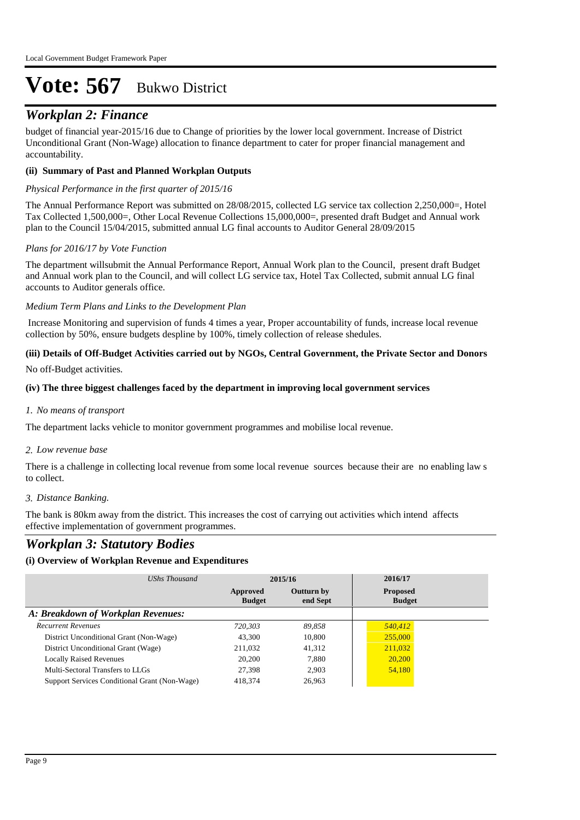## *Workplan 2: Finance*

budget of financial year-2015/16 due to Change of priorities by the lower local government. Increase of District Unconditional Grant (Non-Wage) allocation to finance department to cater for proper financial management and accountability.

#### **(ii) Summary of Past and Planned Workplan Outputs**

#### *Physical Performance in the first quarter of 2015/16*

The Annual Performance Report was submitted on 28/08/2015, collected LG service tax collection 2,250,000=, Hotel Tax Collected 1,500,000=, Other Local Revenue Collections 15,000,000=, presented draft Budget and Annual work plan to the Council 15/04/2015, submitted annual LG final accounts to Auditor General 28/09/2015

#### *Plans for 2016/17 by Vote Function*

The department willsubmit the Annual Performance Report, Annual Work plan to the Council, present draft Budget and Annual work plan to the Council, and will collect LG service tax, Hotel Tax Collected, submit annual LG final accounts to Auditor generals office.

#### *Medium Term Plans and Links to the Development Plan*

 Increase Monitoring and supervision of funds 4 times a year, Proper accountability of funds, increase local revenue collection by 50%, ensure budgets despline by 100%, timely collection of release shedules.

#### **(iii) Details of Off-Budget Activities carried out by NGOs, Central Government, the Private Sector and Donors**

No off-Budget activities.

#### **(iv) The three biggest challenges faced by the department in improving local government services**

#### *No means of transport 1.*

The department lacks vehicle to monitor government programmes and mobilise local revenue.

#### *Low revenue base 2.*

There is a challenge in collecting local revenue from some local revenue sources because their are no enabling law s to collect.

#### *Distance Banking. 3.*

The bank is 80km away from the district. This increases the cost of carrying out activities which intend affects effective implementation of government programmes.

### *Workplan 3: Statutory Bodies*

#### **(i) Overview of Workplan Revenue and Expenditures**

| UShs Thousand                                 |                           | 2015/16                       | 2016/17                          |
|-----------------------------------------------|---------------------------|-------------------------------|----------------------------------|
|                                               | Approved<br><b>Budget</b> | <b>Outturn by</b><br>end Sept | <b>Proposed</b><br><b>Budget</b> |
| A: Breakdown of Workplan Revenues:            |                           |                               |                                  |
| <b>Recurrent Revenues</b>                     | 720.303                   | 89.858                        | 540,412                          |
| District Unconditional Grant (Non-Wage)       | 43,300                    | 10,800                        | 255,000                          |
| District Unconditional Grant (Wage)           | 211,032                   | 41.312                        | 211,032                          |
| <b>Locally Raised Revenues</b>                | 20,200                    | 7.880                         | 20,200                           |
| Multi-Sectoral Transfers to LLGs              | 27,398                    | 2.903                         | 54,180                           |
| Support Services Conditional Grant (Non-Wage) | 418.374                   | 26,963                        |                                  |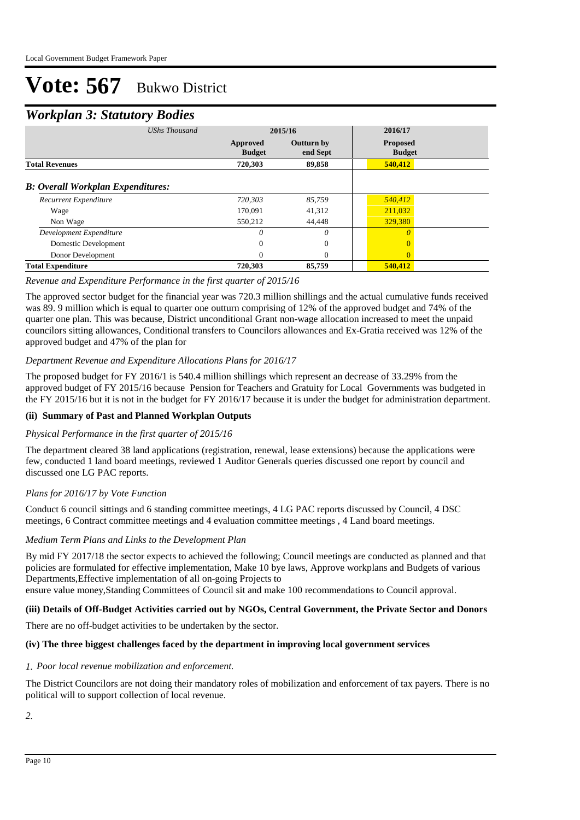### *Workplan 3: Statutory Bodies*

| <b>UShs Thousand</b>                     |                           | 2015/16                       | 2016/17                          |  |
|------------------------------------------|---------------------------|-------------------------------|----------------------------------|--|
|                                          | Approved<br><b>Budget</b> | <b>Outturn by</b><br>end Sept | <b>Proposed</b><br><b>Budget</b> |  |
| <b>Total Revenues</b>                    | 720,303                   | 89,858                        | 540,412                          |  |
| <b>B: Overall Workplan Expenditures:</b> |                           |                               |                                  |  |
| Recurrent Expenditure                    | 720,303                   | 85,759                        | 540,412                          |  |
| Wage                                     | 170.091                   | 41,312                        | 211,032                          |  |
| Non Wage                                 | 550,212                   | 44,448                        | 329,380                          |  |
| Development Expenditure                  | 0                         | 0                             | 0                                |  |
| Domestic Development                     | 0                         | $\theta$                      |                                  |  |
| Donor Development                        | 0                         | $\Omega$                      | $\Omega$                         |  |
| <b>Total Expenditure</b>                 | 720,303                   | 85,759                        | 540,412                          |  |

#### *Revenue and Expenditure Performance in the first quarter of 2015/16*

The approved sector budget for the financial year was 720.3 million shillings and the actual cumulative funds received was 89. 9 million which is equal to quarter one outturn comprising of 12% of the approved budget and 74% of the quarter one plan. This was because, District unconditional Grant non-wage allocation increased to meet the unpaid councilors sitting allowances, Conditional transfers to Councilors allowances and Ex-Gratia received was 12% of the approved budget and 47% of the plan for

#### *Department Revenue and Expenditure Allocations Plans for 2016/17*

The proposed budget for FY 2016/1 is 540.4 million shillings which represent an decrease of 33.29% from the approved budget of FY 2015/16 because Pension for Teachers and Gratuity for Local Governments was budgeted in the FY 2015/16 but it is not in the budget for FY 2016/17 because it is under the budget for administration department.

#### **(ii) Summary of Past and Planned Workplan Outputs**

#### *Physical Performance in the first quarter of 2015/16*

The department cleared 38 land applications (registration, renewal, lease extensions) because the applications were few, conducted 1 land board meetings, reviewed 1 Auditor Generals queries discussed one report by council and discussed one LG PAC reports.

#### *Plans for 2016/17 by Vote Function*

Conduct 6 council sittings and 6 standing committee meetings, 4 LG PAC reports discussed by Council, 4 DSC meetings, 6 Contract committee meetings and 4 evaluation committee meetings , 4 Land board meetings.

#### *Medium Term Plans and Links to the Development Plan*

By mid FY 2017/18 the sector expects to achieved the following; Council meetings are conducted as planned and that policies are formulated for effective implementation, Make 10 bye laws, Approve workplans and Budgets of various Departments,Effective implementation of all on-going Projects to

ensure value money,Standing Committees of Council sit and make 100 recommendations to Council approval.

#### **(iii) Details of Off-Budget Activities carried out by NGOs, Central Government, the Private Sector and Donors**

There are no off-budget activities to be undertaken by the sector.

#### **(iv) The three biggest challenges faced by the department in improving local government services**

#### *Poor local revenue mobilization and enforcement. 1.*

The District Councilors are not doing their mandatory roles of mobilization and enforcement of tax payers. There is no political will to support collection of local revenue.

*2.*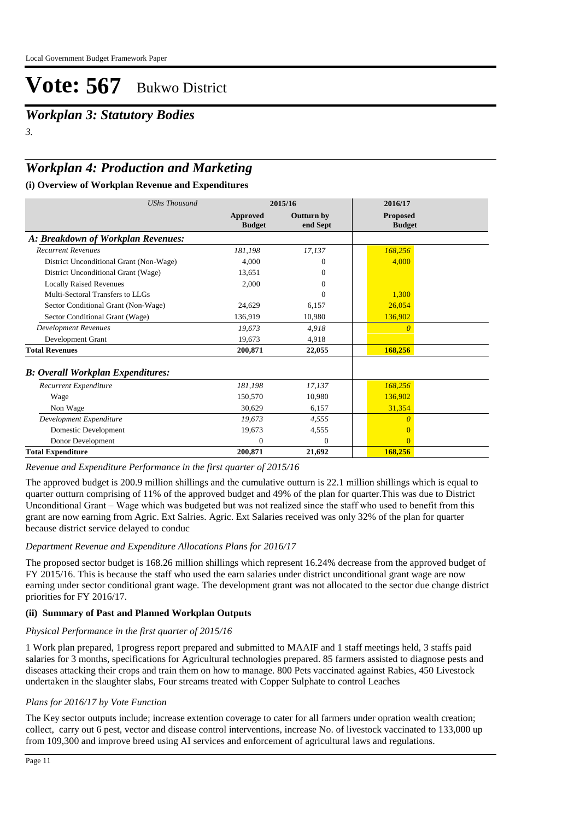*Workplan 3: Statutory Bodies 3.*

### *Workplan 4: Production and Marketing*

#### **(i) Overview of Workplan Revenue and Expenditures**

| <b>UShs Thousand</b>                     |                                  | 2015/16                       | 2016/17                          |  |
|------------------------------------------|----------------------------------|-------------------------------|----------------------------------|--|
|                                          | <b>Approved</b><br><b>Budget</b> | <b>Outturn by</b><br>end Sept | <b>Proposed</b><br><b>Budget</b> |  |
| A: Breakdown of Workplan Revenues:       |                                  |                               |                                  |  |
| <b>Recurrent Revenues</b>                | 181,198                          | 17,137                        | 168,256                          |  |
| District Unconditional Grant (Non-Wage)  | 4.000                            |                               | 4,000                            |  |
| District Unconditional Grant (Wage)      | 13.651                           | 0                             |                                  |  |
| <b>Locally Raised Revenues</b>           | 2,000                            | 0                             |                                  |  |
| Multi-Sectoral Transfers to LLGs         |                                  | 0                             | 1,300                            |  |
| Sector Conditional Grant (Non-Wage)      | 24,629                           | 6,157                         | 26,054                           |  |
| Sector Conditional Grant (Wage)          | 136,919                          | 10,980                        | 136,902                          |  |
| Development Revenues                     | 19.673                           | 4.918                         | $\theta$                         |  |
| Development Grant                        | 19,673                           | 4,918                         |                                  |  |
| <b>Total Revenues</b>                    | 200,871                          | 22,055                        | 168,256                          |  |
| <b>B: Overall Workplan Expenditures:</b> |                                  |                               |                                  |  |
| Recurrent Expenditure                    | 181,198                          | 17,137                        | 168,256                          |  |
| Wage                                     | 150,570                          | 10,980                        | 136,902                          |  |
| Non Wage                                 | 30,629                           | 6,157                         | 31,354                           |  |
| Development Expenditure                  | 19,673                           | 4,555                         | 0                                |  |
| Domestic Development                     | 19,673                           | 4,555                         | $\Omega$                         |  |
| Donor Development                        | $\Omega$                         | $\Omega$                      | $\Omega$                         |  |
| <b>Total Expenditure</b>                 | 200,871                          | 21,692                        | 168,256                          |  |

*Revenue and Expenditure Performance in the first quarter of 2015/16*

The approved budget is 200.9 million shillings and the cumulative outturn is 22.1 million shillings which is equal to quarter outturn comprising of 11% of the approved budget and 49% of the plan for quarter.This was due to District Unconditional Grant – Wage which was budgeted but was not realized since the staff who used to benefit from this grant are now earning from Agric. Ext Salries. Agric. Ext Salaries received was only 32% of the plan for quarter because district service delayed to conduc

#### *Department Revenue and Expenditure Allocations Plans for 2016/17*

The proposed sector budget is 168.26 million shillings which represent 16.24% decrease from the approved budget of FY 2015/16. This is because the staff who used the earn salaries under district unconditional grant wage are now earning under sector conditional grant wage. The development grant was not allocated to the sector due change district priorities for FY 2016/17.

#### **(ii) Summary of Past and Planned Workplan Outputs**

#### *Physical Performance in the first quarter of 2015/16*

1 Work plan prepared, 1progress report prepared and submitted to MAAIF and 1 staff meetings held, 3 staffs paid salaries for 3 months, specifications for Agricultural technologies prepared. 85 farmers assisted to diagnose pests and diseases attacking their crops and train them on how to manage. 800 Pets vaccinated against Rabies, 450 Livestock undertaken in the slaughter slabs, Four streams treated with Copper Sulphate to control Leaches

#### *Plans for 2016/17 by Vote Function*

The Key sector outputs include; increase extention coverage to cater for all farmers under opration wealth creation; collect, carry out 6 pest, vector and disease control interventions, increase No. of livestock vaccinated to 133,000 up from 109,300 and improve breed using AI services and enforcement of agricultural laws and regulations.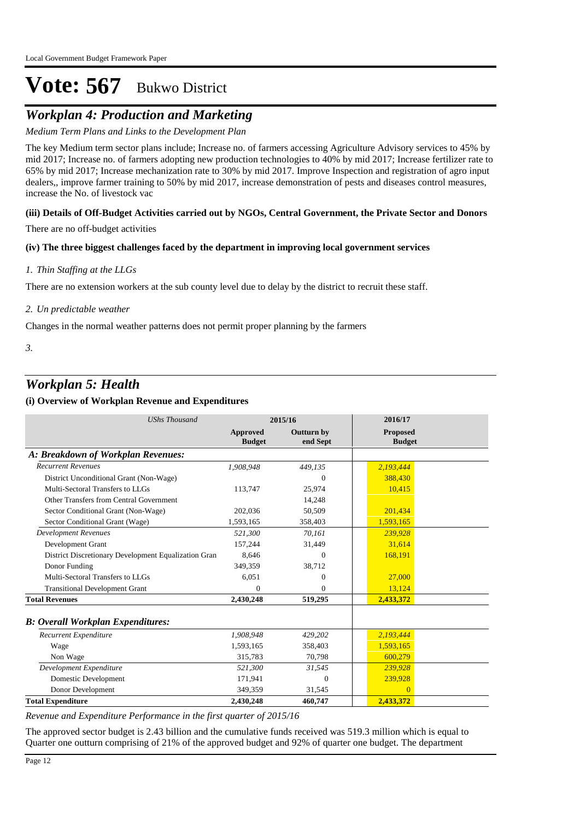## *Workplan 4: Production and Marketing*

#### *Medium Term Plans and Links to the Development Plan*

The key Medium term sector plans include; Increase no. of farmers accessing Agriculture Advisory services to 45% by mid 2017; Increase no. of farmers adopting new production technologies to 40% by mid 2017; Increase fertilizer rate to 65% by mid 2017; Increase mechanization rate to 30% by mid 2017. Improve Inspection and registration of agro input dealers,, improve farmer training to 50% by mid 2017, increase demonstration of pests and diseases control measures, increase the No. of livestock vac

#### **(iii) Details of Off-Budget Activities carried out by NGOs, Central Government, the Private Sector and Donors**

There are no off-budget activities

#### **(iv) The three biggest challenges faced by the department in improving local government services**

#### *Thin Staffing at the LLGs 1.*

There are no extension workers at the sub county level due to delay by the district to recruit these staff.

#### *Un predictable weather 2.*

Changes in the normal weather patterns does not permit proper planning by the farmers

*3.*

### *Workplan 5: Health*

#### **(i) Overview of Workplan Revenue and Expenditures**

| <b>UShs Thousand</b>                                 |                                  | 2015/16                       | 2016/17                   |  |
|------------------------------------------------------|----------------------------------|-------------------------------|---------------------------|--|
|                                                      | <b>Approved</b><br><b>Budget</b> | <b>Outturn by</b><br>end Sept | Proposed<br><b>Budget</b> |  |
| A: Breakdown of Workplan Revenues:                   |                                  |                               |                           |  |
| <b>Recurrent Revenues</b>                            | 1,908,948                        | 449,135                       | 2,193,444                 |  |
| District Unconditional Grant (Non-Wage)              |                                  | $\Omega$                      | 388,430                   |  |
| Multi-Sectoral Transfers to LLGs                     | 113,747                          | 25,974                        | 10,415                    |  |
| Other Transfers from Central Government              |                                  | 14,248                        |                           |  |
| Sector Conditional Grant (Non-Wage)                  | 202,036                          | 50,509                        | 201,434                   |  |
| Sector Conditional Grant (Wage)                      | 1,593,165                        | 358,403                       | 1,593,165                 |  |
| <b>Development Revenues</b>                          | 521.300                          | 70,161                        | 239,928                   |  |
| Development Grant                                    | 157,244                          | 31,449                        | 31,614                    |  |
| District Discretionary Development Equalization Gran | 8.646                            | $\theta$                      | 168,191                   |  |
| Donor Funding                                        | 349,359                          | 38,712                        |                           |  |
| Multi-Sectoral Transfers to LLGs                     | 6,051                            | 0                             | 27,000                    |  |
| <b>Transitional Development Grant</b>                | $\Omega$                         | 0                             | 13,124                    |  |
| <b>Total Revenues</b>                                | 2,430,248                        | 519,295                       | 2,433,372                 |  |
| <b>B: Overall Workplan Expenditures:</b>             |                                  |                               |                           |  |
| Recurrent Expenditure                                | 1,908,948                        | 429,202                       | 2,193,444                 |  |
| Wage                                                 | 1,593,165                        | 358,403                       | 1,593,165                 |  |
| Non Wage                                             | 315,783                          | 70,798                        | 600,279                   |  |
| Development Expenditure                              | 521,300                          | 31,545                        | 239,928                   |  |
| Domestic Development                                 | 171,941                          | $\mathbf{0}$                  | 239,928                   |  |
| Donor Development                                    | 349.359                          | 31,545                        | $\Omega$                  |  |
| <b>Total Expenditure</b>                             | 2,430,248                        | 460,747                       | 2,433,372                 |  |

*Revenue and Expenditure Performance in the first quarter of 2015/16*

The approved sector budget is 2.43 billion and the cumulative funds received was 519.3 million which is equal to Quarter one outturn comprising of 21% of the approved budget and 92% of quarter one budget. The department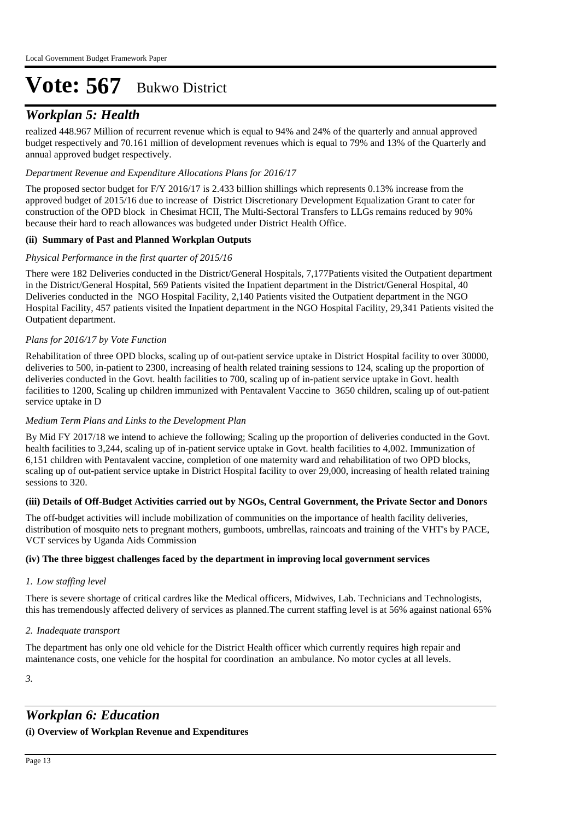## *Workplan 5: Health*

realized 448.967 Million of recurrent revenue which is equal to 94% and 24% of the quarterly and annual approved budget respectively and 70.161 million of development revenues which is equal to 79% and 13% of the Quarterly and annual approved budget respectively.

#### *Department Revenue and Expenditure Allocations Plans for 2016/17*

The proposed sector budget for F/Y 2016/17 is 2.433 billion shillings which represents 0.13% increase from the approved budget of 2015/16 due to increase of District Discretionary Development Equalization Grant to cater for construction of the OPD block in Chesimat HCII, The Multi-Sectoral Transfers to LLGs remains reduced by 90% because their hard to reach allowances was budgeted under District Health Office.

#### **(ii) Summary of Past and Planned Workplan Outputs**

#### *Physical Performance in the first quarter of 2015/16*

There were 182 Deliveries conducted in the District/General Hospitals, 7,177Patients visited the Outpatient department in the District/General Hospital, 569 Patients visited the Inpatient department in the District/General Hospital, 40 Deliveries conducted in the NGO Hospital Facility, 2,140 Patients visited the Outpatient department in the NGO Hospital Facility, 457 patients visited the Inpatient department in the NGO Hospital Facility, 29,341 Patients visited the Outpatient department.

#### *Plans for 2016/17 by Vote Function*

Rehabilitation of three OPD blocks, scaling up of out-patient service uptake in District Hospital facility to over 30000, deliveries to 500, in-patient to 2300, increasing of health related training sessions to 124, scaling up the proportion of deliveries conducted in the Govt. health facilities to 700, scaling up of in-patient service uptake in Govt. health facilities to 1200, Scaling up children immunized with Pentavalent Vaccine to 3650 children, scaling up of out-patient service uptake in D

#### *Medium Term Plans and Links to the Development Plan*

By Mid FY 2017/18 we intend to achieve the following; Scaling up the proportion of deliveries conducted in the Govt. health facilities to 3,244, scaling up of in-patient service uptake in Govt. health facilities to 4,002. Immunization of 6,151 children with Pentavalent vaccine, completion of one maternity ward and rehabilitation of two OPD blocks, scaling up of out-patient service uptake in District Hospital facility to over 29,000, increasing of health related training sessions to 320.

#### **(iii) Details of Off-Budget Activities carried out by NGOs, Central Government, the Private Sector and Donors**

The off-budget activities will include mobilization of communities on the importance of health facility deliveries, distribution of mosquito nets to pregnant mothers, gumboots, umbrellas, raincoats and training of the VHT's by PACE, VCT services by Uganda Aids Commission

#### **(iv) The three biggest challenges faced by the department in improving local government services**

#### *Low staffing level 1.*

There is severe shortage of critical cardres like the Medical officers, Midwives, Lab. Technicians and Technologists, this has tremendously affected delivery of services as planned.The current staffing level is at 56% against national 65%

#### *Inadequate transport 2.*

The department has only one old vehicle for the District Health officer which currently requires high repair and maintenance costs, one vehicle for the hospital for coordination an ambulance. No motor cycles at all levels.

*3.*

### *Workplan 6: Education*

#### **(i) Overview of Workplan Revenue and Expenditures**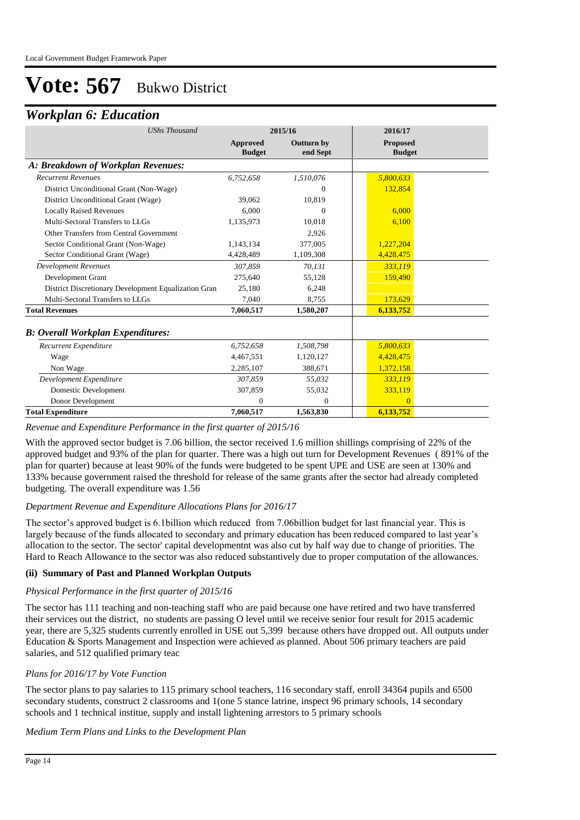### *Workplan 6: Education*

| <b>UShs Thousand</b>                                 |                                  | 2015/16                       | 2016/17                          |
|------------------------------------------------------|----------------------------------|-------------------------------|----------------------------------|
|                                                      | <b>Approved</b><br><b>Budget</b> | <b>Outturn by</b><br>end Sept | <b>Proposed</b><br><b>Budget</b> |
| A: Breakdown of Workplan Revenues:                   |                                  |                               |                                  |
| <b>Recurrent Revenues</b>                            | 6,752,658                        | 1,510,076                     | 5,800,633                        |
| District Unconditional Grant (Non-Wage)              |                                  | 0                             | 132,854                          |
| District Unconditional Grant (Wage)                  | 39,062                           | 10,819                        |                                  |
| <b>Locally Raised Revenues</b>                       | 6.000                            | 0                             | 6.000                            |
| Multi-Sectoral Transfers to LLGs                     | 1,135,973                        | 10,018                        | 6,100                            |
| Other Transfers from Central Government              |                                  | 2,926                         |                                  |
| Sector Conditional Grant (Non-Wage)                  | 1,143,134                        | 377,005                       | 1,227,204                        |
| Sector Conditional Grant (Wage)                      | 4,428,489                        | 1,109,308                     | 4,428,475                        |
| <b>Development Revenues</b>                          | 307.859                          | 70,131                        | 333,119                          |
| Development Grant                                    | 275,640                          | 55,128                        | 159,490                          |
| District Discretionary Development Equalization Gran | 25,180                           | 6,248                         |                                  |
| Multi-Sectoral Transfers to LLGs                     | 7,040                            | 8,755                         | 173,629                          |
| <b>Total Revenues</b>                                | 7,060,517                        | 1,580,207                     | 6,133,752                        |
| <b>B: Overall Workplan Expenditures:</b>             |                                  |                               |                                  |
| Recurrent Expenditure                                | 6,752,658                        | 1,508,798                     | 5,800,633                        |
| Wage                                                 | 4,467,551                        | 1,120,127                     | 4,428,475                        |
| Non Wage                                             | 2,285,107                        | 388,671                       | 1,372,158                        |
| Development Expenditure                              | 307.859                          | 55,032                        | 333.119                          |
| Domestic Development                                 | 307,859                          | 55,032                        | 333,119                          |
| Donor Development                                    | $\Omega$                         | $\Omega$                      | $\overline{0}$                   |
| <b>Total Expenditure</b>                             | 7,060,517                        | 1,563,830                     | 6,133,752                        |

#### *Revenue and Expenditure Performance in the first quarter of 2015/16*

With the approved sector budget is 7.06 billion, the sector received 1.6 million shillings comprising of 22% of the approved budget and 93% of the plan for quarter. There was a high out turn for Development Revenues ( 891% of the plan for quarter) because at least 90% of the funds were budgeted to be spent UPE and USE are seen at 130% and 133% because government raised the threshold for release of the same grants after the sector had already completed budgeting. The overall expenditure was 1.56

#### *Department Revenue and Expenditure Allocations Plans for 2016/17*

The sector's approved budget is 6.1billion which reduced from 7.06billion budget for last financial year. This is largely because of the funds allocated to secondary and primary education has been reduced compared to last year's allocation to the sector. The sector' capital developmentnt was also cut by half way due to change of priorities. The Hard to Reach Allowance to the sector was also reduced substantively due to proper computation of the allowances.

#### **(ii) Summary of Past and Planned Workplan Outputs**

#### *Physical Performance in the first quarter of 2015/16*

The sector has 111 teaching and non-teaching staff who are paid because one have retired and two have transferred their services out the district, no students are passing O level until we receive senior four result for 2015 academic year, there are 5,325 students currently enrolled in USE out 5,399 because others have dropped out. All outputs under Education & Sports Management and Inspection were achieved as planned. About 506 primary teachers are paid salaries, and 512 qualified primary teac

#### *Plans for 2016/17 by Vote Function*

The sector plans to pay salaries to 115 primary school teachers, 116 secondary staff, enroll 34364 pupils and 6500 secondary students, construct 2 classrooms and 1(one 5 stance latrine, inspect 96 primary schools, 14 secondary schools and 1 technical institue, supply and install lightening arrestors to  $\overline{5}$  primary schools

#### *Medium Term Plans and Links to the Development Plan*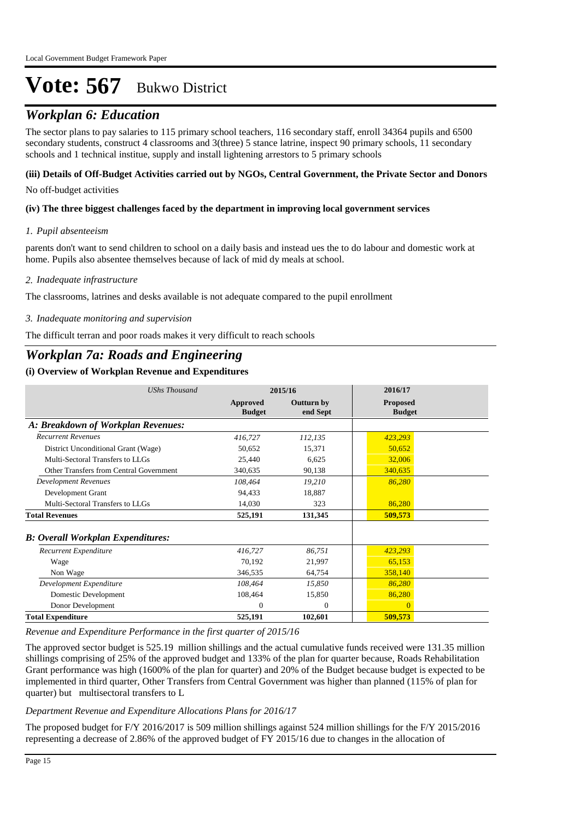## *Workplan 6: Education*

The sector plans to pay salaries to 115 primary school teachers, 116 secondary staff, enroll 34364 pupils and 6500 secondary students, construct 4 classrooms and 3(three) 5 stance latrine, inspect 90 primary schools, 11 secondary schools and 1 technical institue, supply and install lightening arrestors to 5 primary schools

#### **(iii) Details of Off-Budget Activities carried out by NGOs, Central Government, the Private Sector and Donors**

No off-budget activities

#### **(iv) The three biggest challenges faced by the department in improving local government services**

#### *Pupil absenteeism 1.*

parents don't want to send children to school on a daily basis and instead ues the to do labour and domestic work at home. Pupils also absentee themselves because of lack of mid dy meals at school.

#### *Inadequate infrastructure 2.*

The classrooms, latrines and desks available is not adequate compared to the pupil enrollment

#### *Inadequate monitoring and supervision 3.*

The difficult terran and poor roads makes it very difficult to reach schools

## *Workplan 7a: Roads and Engineering*

#### **(i) Overview of Workplan Revenue and Expenditures**

| <b>UShs Thousand</b>                           |                           | 2015/16                | 2016/17                          |
|------------------------------------------------|---------------------------|------------------------|----------------------------------|
|                                                | Approved<br><b>Budget</b> | Outturn by<br>end Sept | <b>Proposed</b><br><b>Budget</b> |
| A: Breakdown of Workplan Revenues:             |                           |                        |                                  |
| <b>Recurrent Revenues</b>                      | 416,727                   | 112,135                | 423,293                          |
| District Unconditional Grant (Wage)            | 50,652                    | 15,371                 | 50,652                           |
| Multi-Sectoral Transfers to LLGs               | 25,440                    | 6,625                  | 32,006                           |
| <b>Other Transfers from Central Government</b> | 340,635                   | 90,138                 | 340,635                          |
| <b>Development Revenues</b>                    | 108,464                   | 19,210                 | 86,280                           |
| Development Grant                              | 94,433                    | 18,887                 |                                  |
| Multi-Sectoral Transfers to LLGs               | 14,030                    | 323                    | 86,280                           |
| <b>Total Revenues</b>                          | 525,191                   | 131,345                | 509,573                          |
| <b>B</b> : Overall Workplan Expenditures:      |                           |                        |                                  |
| Recurrent Expenditure                          | 416,727                   | 86,751                 | 423,293                          |
| Wage                                           | 70,192                    | 21,997                 | 65,153                           |
| Non Wage                                       | 346,535                   | 64,754                 | 358,140                          |
| Development Expenditure                        | 108,464                   | 15,850                 | 86,280                           |
| Domestic Development                           | 108,464                   | 15,850                 | 86,280                           |
| Donor Development                              | $\Omega$                  | $\Omega$               | $\Omega$                         |
| <b>Total Expenditure</b>                       | 525,191                   | 102,601                | 509,573                          |

#### *Revenue and Expenditure Performance in the first quarter of 2015/16*

The approved sector budget is 525.19 million shillings and the actual cumulative funds received were 131.35 million shillings comprising of 25% of the approved budget and 133% of the plan for quarter because, Roads Rehabilitation Grant performance was high (1600% of the plan for quarter) and 20% of the Budget because budget is expected to be implemented in third quarter, Other Transfers from Central Government was higher than planned (115% of plan for quarter) but multisectoral transfers to L

#### *Department Revenue and Expenditure Allocations Plans for 2016/17*

The proposed budget for F/Y 2016/2017 is 509 million shillings against 524 million shillings for the F/Y 2015/2016 representing a decrease of 2.86% of the approved budget of FY 2015/16 due to changes in the allocation of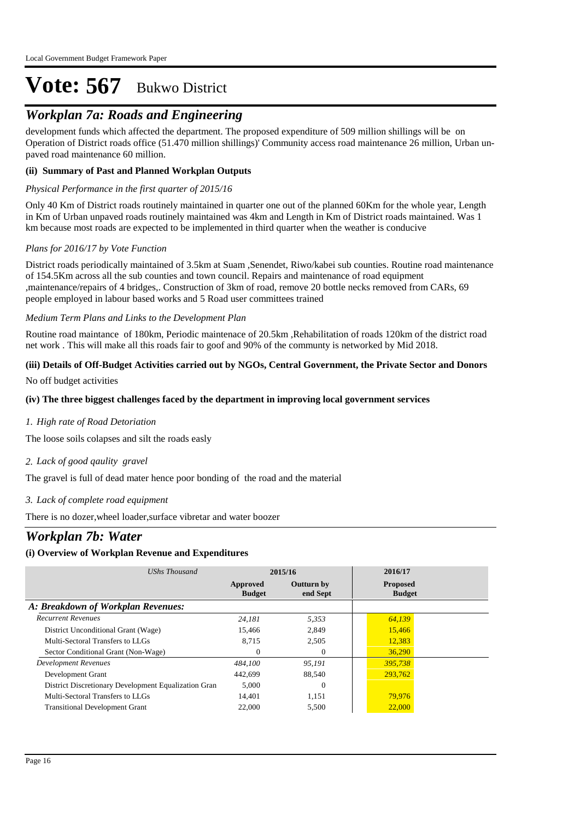## *Workplan 7a: Roads and Engineering*

development funds which affected the department. The proposed expenditure of 509 million shillings will be on Operation of District roads office (51.470 million shillings)' Community access road maintenance 26 million, Urban unpaved road maintenance 60 million.

#### **(ii) Summary of Past and Planned Workplan Outputs**

#### *Physical Performance in the first quarter of 2015/16*

Only 40 Km of District roads routinely maintained in quarter one out of the planned 60Km for the whole year, Length in Km of Urban unpaved roads routinely maintained was 4km and Length in Km of District roads maintained. Was 1 km because most roads are expected to be implemented in third quarter when the weather is conducive

#### *Plans for 2016/17 by Vote Function*

District roads periodically maintained of 3.5km at Suam ,Senendet, Riwo/kabei sub counties. Routine road maintenance of 154.5Km across all the sub counties and town council. Repairs and maintenance of road equipment ,maintenance/repairs of 4 bridges,. Construction of 3km of road, remove 20 bottle necks removed from CARs, 69 people employed in labour based works and 5 Road user committees trained

#### *Medium Term Plans and Links to the Development Plan*

Routine road maintance of 180km, Periodic maintenace of 20.5km ,Rehabilitation of roads 120km of the district road net work . This will make all this roads fair to goof and 90% of the communty is networked by Mid 2018.

#### **(iii) Details of Off-Budget Activities carried out by NGOs, Central Government, the Private Sector and Donors**

No off budget activities

#### **(iv) The three biggest challenges faced by the department in improving local government services**

*High rate of Road Detoriation 1.*

The loose soils colapses and silt the roads easly

#### *Lack of good qaulity gravel 2.*

The gravel is full of dead mater hence poor bonding of the road and the material

*Lack of complete road equipment 3.*

There is no dozer,wheel loader,surface vibretar and water boozer

### *Workplan 7b: Water*

#### **(i) Overview of Workplan Revenue and Expenditures**

| UShs Thousand                                        | 2015/16                   |                               | 2016/17                          |  |
|------------------------------------------------------|---------------------------|-------------------------------|----------------------------------|--|
|                                                      | Approved<br><b>Budget</b> | <b>Outturn by</b><br>end Sept | <b>Proposed</b><br><b>Budget</b> |  |
| A: Breakdown of Workplan Revenues:                   |                           |                               |                                  |  |
| <b>Recurrent Revenues</b>                            | 24.181                    | 5,353                         | 64,139                           |  |
| District Unconditional Grant (Wage)                  | 15.466                    | 2.849                         | 15,466                           |  |
| Multi-Sectoral Transfers to LLGs                     | 8.715                     | 2,505                         | 12,383                           |  |
| Sector Conditional Grant (Non-Wage)                  | $\theta$                  | $\Omega$                      | 36,290                           |  |
| Development Revenues                                 | 484,100                   | 95,191                        | 395,738                          |  |
| Development Grant                                    | 442,699                   | 88,540                        | 293,762                          |  |
| District Discretionary Development Equalization Gran | 5,000                     | $\Omega$                      |                                  |  |
| Multi-Sectoral Transfers to LLGs                     | 14,401                    | 1,151                         | 79,976                           |  |
| <b>Transitional Development Grant</b>                | 22,000                    | 5,500                         | 22,000                           |  |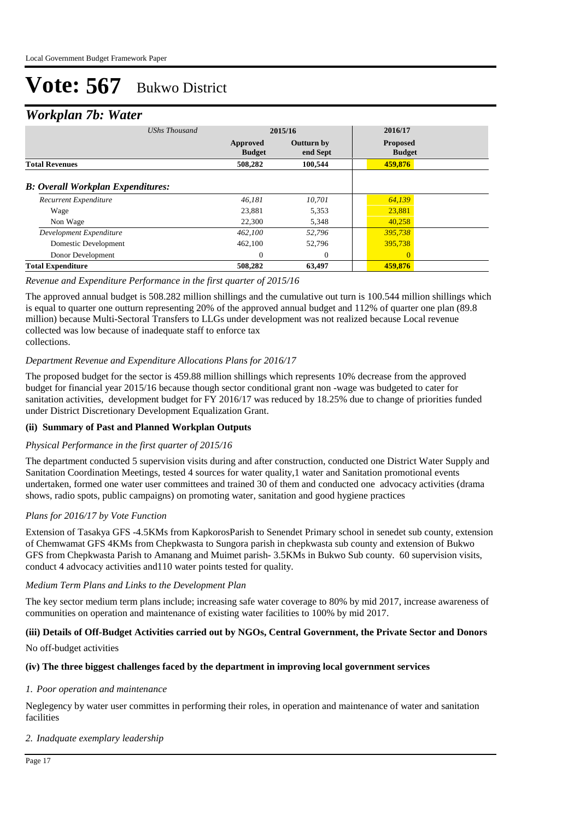### *Workplan 7b: Water*

| ┻<br><b>UShs Thousand</b>                | 2015/16                   |                               | 2016/17                          |  |
|------------------------------------------|---------------------------|-------------------------------|----------------------------------|--|
|                                          | Approved<br><b>Budget</b> | <b>Outturn by</b><br>end Sept | <b>Proposed</b><br><b>Budget</b> |  |
| <b>Total Revenues</b>                    | 508,282                   | 100.544                       | 459,876                          |  |
| <b>B:</b> Overall Workplan Expenditures: |                           |                               |                                  |  |
| Recurrent Expenditure                    | 46.181                    | 10.701                        | 64,139                           |  |
| Wage                                     | 23.881                    | 5,353                         | 23,881                           |  |
| Non Wage                                 | 22,300                    | 5,348                         | 40,258                           |  |
| Development Expenditure                  | 462,100                   | 52.796                        | 395,738                          |  |
| Domestic Development                     | 462,100                   | 52,796                        | 395,738                          |  |
| Donor Development                        | $\Omega$                  | $\Omega$                      | $\Omega$                         |  |
| <b>Total Expenditure</b>                 | 508,282                   | 63,497                        | 459,876                          |  |

#### *Revenue and Expenditure Performance in the first quarter of 2015/16*

The approved annual budget is 508.282 million shillings and the cumulative out turn is 100.544 million shillings which is equal to quarter one outturn representing 20% of the approved annual budget and 112% of quarter one plan (89.8 million) because Multi-Sectoral Transfers to LLGs under development was not realized because Local revenue collected was low because of inadequate staff to enforce tax collections.

#### *Department Revenue and Expenditure Allocations Plans for 2016/17*

The proposed budget for the sector is 459.88 million shillings which represents 10% decrease from the approved budget for financial year 2015/16 because though sector conditional grant non -wage was budgeted to cater for sanitation activities, development budget for FY 2016/17 was reduced by 18.25% due to change of priorities funded under District Discretionary Development Equalization Grant.

#### **(ii) Summary of Past and Planned Workplan Outputs**

#### *Physical Performance in the first quarter of 2015/16*

The department conducted 5 supervision visits during and after construction, conducted one District Water Supply and Sanitation Coordination Meetings, tested 4 sources for water quality,1 water and Sanitation promotional events undertaken, formed one water user committees and trained 30 of them and conducted one advocacy activities (drama shows, radio spots, public campaigns) on promoting water, sanitation and good hygiene practices

#### *Plans for 2016/17 by Vote Function*

Extension of Tasakya GFS -4.5KMs from KapkorosParish to Senendet Primary school in senedet sub county, extension of Chemwamat GFS 4KMs from Chepkwasta to Sungora parish in chepkwasta sub county and extension of Bukwo GFS from Chepkwasta Parish to Amanang and Muimet parish- 3.5KMs in Bukwo Sub county. 60 supervision visits, conduct 4 advocacy activities and110 water points tested for quality.

#### *Medium Term Plans and Links to the Development Plan*

The key sector medium term plans include; increasing safe water coverage to 80% by mid 2017, increase awareness of communities on operation and maintenance of existing water facilities to 100% by mid 2017.

#### **(iii) Details of Off-Budget Activities carried out by NGOs, Central Government, the Private Sector and Donors**

No off-budget activities

#### **(iv) The three biggest challenges faced by the department in improving local government services**

#### *Poor operation and maintenance 1.*

Neglegency by water user committes in performing their roles, in operation and maintenance of water and sanitation facilities

#### *Inadquate exemplary leadership 2.*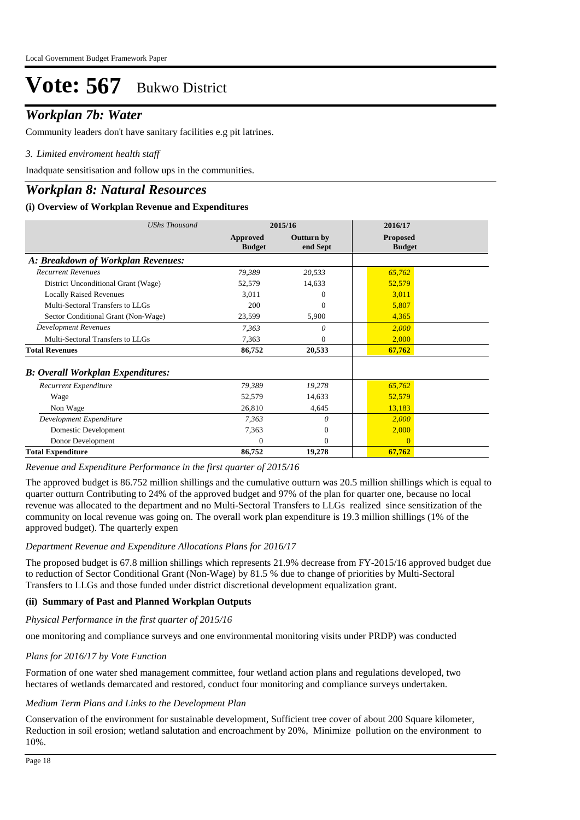### *Workplan 7b: Water*

Community leaders don't have sanitary facilities e.g pit latrines.

#### *Limited enviroment health staff 3.*

Inadquate sensitisation and follow ups in the communities.

### *Workplan 8: Natural Resources*

#### **(i) Overview of Workplan Revenue and Expenditures**

| <b>UShs Thousand</b>                     | 2015/16                   |                               | 2016/17                          |
|------------------------------------------|---------------------------|-------------------------------|----------------------------------|
|                                          | Approved<br><b>Budget</b> | <b>Outturn by</b><br>end Sept | <b>Proposed</b><br><b>Budget</b> |
| A: Breakdown of Workplan Revenues:       |                           |                               |                                  |
| <b>Recurrent Revenues</b>                | 79,389                    | 20,533                        | 65,762                           |
| District Unconditional Grant (Wage)      | 52,579                    | 14,633                        | 52,579                           |
| <b>Locally Raised Revenues</b>           | 3,011                     | 0                             | 3,011                            |
| Multi-Sectoral Transfers to LLGs         | 200                       | 0                             | 5,807                            |
| Sector Conditional Grant (Non-Wage)      | 23,599                    | 5,900                         | 4,365                            |
| <b>Development Revenues</b>              | 7,363                     | 0                             | 2,000                            |
| Multi-Sectoral Transfers to LLGs         | 7,363                     | 0                             | 2,000                            |
| <b>Total Revenues</b>                    | 86,752                    | 20,533                        | 67,762                           |
| <b>B: Overall Workplan Expenditures:</b> |                           |                               |                                  |
| Recurrent Expenditure                    | 79,389                    | 19,278                        | 65,762                           |
| Wage                                     | 52,579                    | 14,633                        | 52,579                           |
| Non Wage                                 | 26,810                    | 4,645                         | 13,183                           |
| Development Expenditure                  | 7,363                     | 0                             | 2,000                            |
| Domestic Development                     | 7,363                     | $\mathbf{0}$                  | 2,000                            |
| Donor Development                        | 0                         | $\mathbf{0}$                  | $\left($                         |
| <b>Total Expenditure</b>                 | 86,752                    | 19,278                        | 67,762                           |

*Revenue and Expenditure Performance in the first quarter of 2015/16*

The approved budget is 86.752 million shillings and the cumulative outturn was 20.5 million shillings which is equal to quarter outturn Contributing to 24% of the approved budget and 97% of the plan for quarter one, because no local revenue was allocated to the department and no Multi-Sectoral Transfers to LLGs realized since sensitization of the community on local revenue was going on. The overall work plan expenditure is 19.3 million shillings (1% of the approved budget). The quarterly expen

#### *Department Revenue and Expenditure Allocations Plans for 2016/17*

The proposed budget is 67.8 million shillings which represents 21.9% decrease from FY-2015/16 approved budget due to reduction of Sector Conditional Grant (Non-Wage) by 81.5 % due to change of priorities by Multi-Sectoral Transfers to LLGs and those funded under district discretional development equalization grant.

#### **(ii) Summary of Past and Planned Workplan Outputs**

*Physical Performance in the first quarter of 2015/16*

one monitoring and compliance surveys and one environmental monitoring visits under PRDP) was conducted

#### *Plans for 2016/17 by Vote Function*

Formation of one water shed management committee, four wetland action plans and regulations developed, two hectares of wetlands demarcated and restored, conduct four monitoring and compliance surveys undertaken.

#### *Medium Term Plans and Links to the Development Plan*

Conservation of the environment for sustainable development, Sufficient tree cover of about 200 Square kilometer, Reduction in soil erosion; wetland salutation and encroachment by 20%, Minimize pollution on the environment to 10%.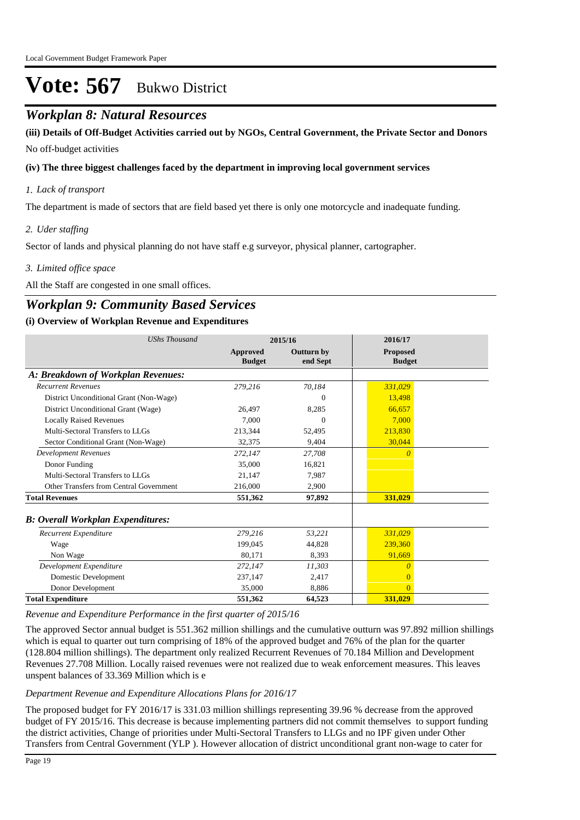### *Workplan 8: Natural Resources*

No off-budget activities **(iii) Details of Off-Budget Activities carried out by NGOs, Central Government, the Private Sector and Donors** 

#### **(iv) The three biggest challenges faced by the department in improving local government services**

#### *Lack of transport 1.*

The department is made of sectors that are field based yet there is only one motorcycle and inadequate funding.

#### *Uder staffing 2.*

Sector of lands and physical planning do not have staff e.g surveyor, physical planner, cartographer.

#### *Limited office space 3.*

All the Staff are congested in one small offices.

### *Workplan 9: Community Based Services*

#### **(i) Overview of Workplan Revenue and Expenditures**

| <b>UShs Thousand</b>                      | 2015/16                   |                               | 2016/17                          |
|-------------------------------------------|---------------------------|-------------------------------|----------------------------------|
|                                           | Approved<br><b>Budget</b> | <b>Outturn by</b><br>end Sept | <b>Proposed</b><br><b>Budget</b> |
| A: Breakdown of Workplan Revenues:        |                           |                               |                                  |
| <b>Recurrent Revenues</b>                 | 279,216                   | 70,184                        | 331,029                          |
| District Unconditional Grant (Non-Wage)   |                           | $\Omega$                      | 13,498                           |
| District Unconditional Grant (Wage)       | 26.497                    | 8,285                         | 66.657                           |
| <b>Locally Raised Revenues</b>            | 7.000                     | 0                             | 7.000                            |
| Multi-Sectoral Transfers to LLGs          | 213.344                   | 52.495                        | 213,830                          |
| Sector Conditional Grant (Non-Wage)       | 32,375                    | 9,404                         | 30,044                           |
| Development Revenues                      | 272,147                   | 27,708                        | 0                                |
| Donor Funding                             | 35,000                    | 16.821                        |                                  |
| Multi-Sectoral Transfers to LLGs          | 21.147                    | 7.987                         |                                  |
| Other Transfers from Central Government   | 216,000                   | 2,900                         |                                  |
| <b>Total Revenues</b>                     | 551,362                   | 97,892                        | 331,029                          |
| <b>B</b> : Overall Workplan Expenditures: |                           |                               |                                  |
| Recurrent Expenditure                     | 279,216                   | 53,221                        | 331.029                          |
| Wage                                      | 199.045                   | 44,828                        | 239,360                          |
| Non Wage                                  | 80.171                    | 8.393                         | 91,669                           |
| Development Expenditure                   | 272,147                   | 11,303                        | 0                                |
| Domestic Development                      | 237,147                   | 2,417                         | $\Omega$                         |
| Donor Development                         | 35,000                    | 8,886                         | $\Omega$                         |
| <b>Total Expenditure</b>                  | 551,362                   | 64,523                        | 331,029                          |

*Revenue and Expenditure Performance in the first quarter of 2015/16*

The approved Sector annual budget is 551.362 million shillings and the cumulative outturn was 97.892 million shillings which is equal to quarter out turn comprising of 18% of the approved budget and 76% of the plan for the quarter (128.804 million shillings). The department only realized Recurrent Revenues of 70.184 Million and Development Revenues 27.708 Million. Locally raised revenues were not realized due to weak enforcement measures. This leaves unspent balances of 33.369 Million which is e

#### *Department Revenue and Expenditure Allocations Plans for 2016/17*

The proposed budget for FY 2016/17 is 331.03 million shillings representing 39.96 % decrease from the approved budget of FY 2015/16. This decrease is because implementing partners did not commit themselves to support funding the district activities, Change of priorities under Multi-Sectoral Transfers to LLGs and no IPF given under Other Transfers from Central Government (YLP ). However allocation of district unconditional grant non-wage to cater for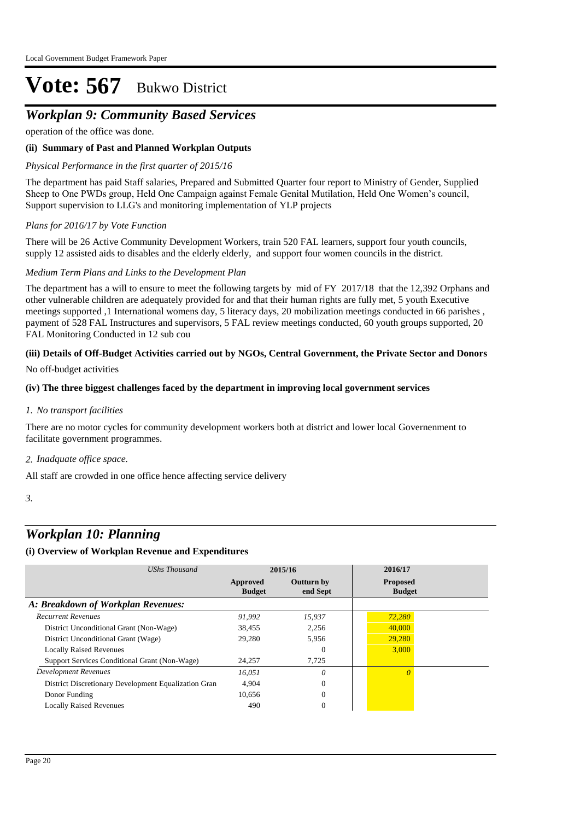## *Workplan 9: Community Based Services*

operation of the office was done.

#### **(ii) Summary of Past and Planned Workplan Outputs**

#### *Physical Performance in the first quarter of 2015/16*

The department has paid Staff salaries, Prepared and Submitted Quarter four report to Ministry of Gender, Supplied Sheep to One PWDs group, Held One Campaign against Female Genital Mutilation, Held One Women's council, Support supervision to LLG's and monitoring implementation of YLP projects

#### *Plans for 2016/17 by Vote Function*

There will be 26 Active Community Development Workers, train 520 FAL learners, support four youth councils, supply 12 assisted aids to disables and the elderly elderly, and support four women councils in the district.

#### *Medium Term Plans and Links to the Development Plan*

The department has a will to ensure to meet the following targets by mid of FY 2017/18 that the 12,392 Orphans and other vulnerable children are adequately provided for and that their human rights are fully met, 5 youth Executive meetings supported ,1 International womens day, 5 literacy days, 20 mobilization meetings conducted in 66 parishes , payment of 528 FAL Instructures and supervisors, 5 FAL review meetings conducted, 60 youth groups supported, 20 FAL Monitoring Conducted in 12 sub cou

#### **(iii) Details of Off-Budget Activities carried out by NGOs, Central Government, the Private Sector and Donors**

No off-budget activities

#### **(iv) The three biggest challenges faced by the department in improving local government services**

*No transport facilities 1.*

There are no motor cycles for community development workers both at district and lower local Governenment to facilitate government programmes.

#### *Inadquate office space. 2.*

All staff are crowded in one office hence affecting service delivery

*3.*

### *Workplan 10: Planning*

#### **(i) Overview of Workplan Revenue and Expenditures**

| UShs Thousand                                        | 2015/16                   |                               | 2016/17                          |  |
|------------------------------------------------------|---------------------------|-------------------------------|----------------------------------|--|
|                                                      | Approved<br><b>Budget</b> | <b>Outturn by</b><br>end Sept | <b>Proposed</b><br><b>Budget</b> |  |
| A: Breakdown of Workplan Revenues:                   |                           |                               |                                  |  |
| <b>Recurrent Revenues</b>                            | 91.992                    | 15,937                        | 72,280                           |  |
| District Unconditional Grant (Non-Wage)              | 38,455                    | 2.256                         | 40,000                           |  |
| District Unconditional Grant (Wage)                  | 29,280                    | 5,956                         | 29,280                           |  |
| <b>Locally Raised Revenues</b>                       |                           | $\theta$                      | 3,000                            |  |
| Support Services Conditional Grant (Non-Wage)        | 24,257                    | 7,725                         |                                  |  |
| <b>Development Revenues</b>                          | 16.051                    | $\theta$                      |                                  |  |
| District Discretionary Development Equalization Gran | 4.904                     | $\Omega$                      |                                  |  |
| Donor Funding                                        | 10,656                    | $\mathbf{0}$                  |                                  |  |
| <b>Locally Raised Revenues</b>                       | 490                       | $\mathbf{0}$                  |                                  |  |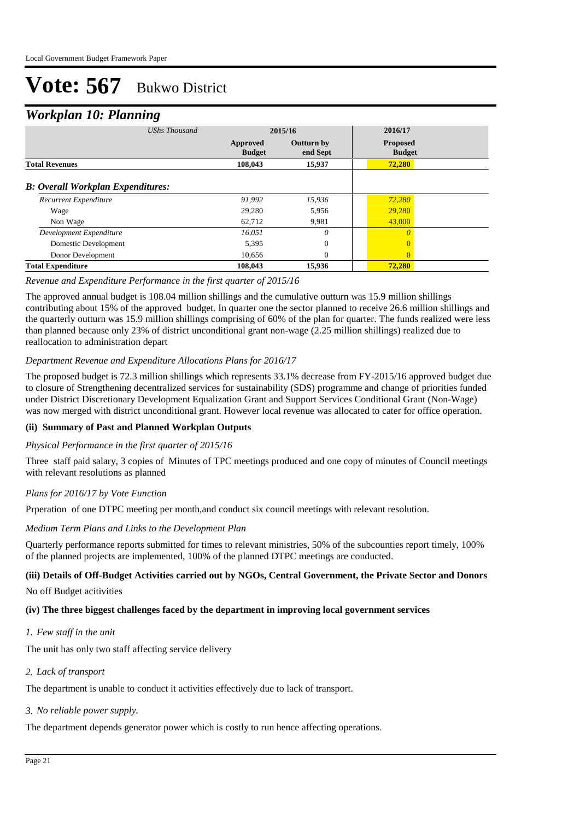### *Workplan 10: Planning*

| ≖<br>ີ<br><b>UShs Thousand</b>           |               | 2015/16           | 2016/17         |  |
|------------------------------------------|---------------|-------------------|-----------------|--|
|                                          |               |                   |                 |  |
|                                          | Approved      | <b>Outturn by</b> | <b>Proposed</b> |  |
|                                          | <b>Budget</b> | end Sept          | <b>Budget</b>   |  |
| <b>Total Revenues</b>                    | 108,043       | 15,937            | 72,280          |  |
|                                          |               |                   |                 |  |
| <b>B: Overall Workplan Expenditures:</b> |               |                   |                 |  |
| Recurrent Expenditure                    | 91,992        | 15,936            | 72,280          |  |
| Wage                                     | 29,280        | 5,956             | 29,280          |  |
| Non Wage                                 | 62,712        | 9,981             | 43,000          |  |
| Development Expenditure                  | 16.051        | $\theta$          | $\theta$        |  |
| Domestic Development                     | 5,395         | $\mathbf{0}$      | $\Omega$        |  |
| Donor Development                        | 10,656        | $\theta$          | $\overline{0}$  |  |
| <b>Total Expenditure</b>                 | 108,043       | 15,936            | 72,280          |  |

#### *Revenue and Expenditure Performance in the first quarter of 2015/16*

The approved annual budget is 108.04 million shillings and the cumulative outturn was 15.9 million shillings contributing about 15% of the approved budget. In quarter one the sector planned to receive 26.6 million shillings and the quarterly outturn was 15.9 million shillings comprising of 60% of the plan for quarter. The funds realized were less than planned because only 23% of district unconditional grant non-wage (2.25 million shillings) realized due to reallocation to administration depart

#### *Department Revenue and Expenditure Allocations Plans for 2016/17*

The proposed budget is 72.3 million shillings which represents 33.1% decrease from FY-2015/16 approved budget due to closure of Strengthening decentralized services for sustainability (SDS) programme and change of priorities funded under District Discretionary Development Equalization Grant and Support Services Conditional Grant (Non-Wage) was now merged with district unconditional grant. However local revenue was allocated to cater for office operation.

#### **(ii) Summary of Past and Planned Workplan Outputs**

#### *Physical Performance in the first quarter of 2015/16*

Three staff paid salary, 3 copies of Minutes of TPC meetings produced and one copy of minutes of Council meetings with relevant resolutions as planned

#### *Plans for 2016/17 by Vote Function*

Prperation of one DTPC meeting per month,and conduct six council meetings with relevant resolution.

#### *Medium Term Plans and Links to the Development Plan*

Quarterly performance reports submitted for times to relevant ministries, 50% of the subcounties report timely, 100% of the planned projects are implemented, 100% of the planned DTPC meetings are conducted.

#### **(iii) Details of Off-Budget Activities carried out by NGOs, Central Government, the Private Sector and Donors**

No off Budget acitivities

#### **(iv) The three biggest challenges faced by the department in improving local government services**

*Few staff in the unit 1.*

The unit has only two staff affecting service delivery

*Lack of transport 2.*

The department is unable to conduct it activities effectively due to lack of transport.

*No reliable power supply. 3.*

The department depends generator power which is costly to run hence affecting operations.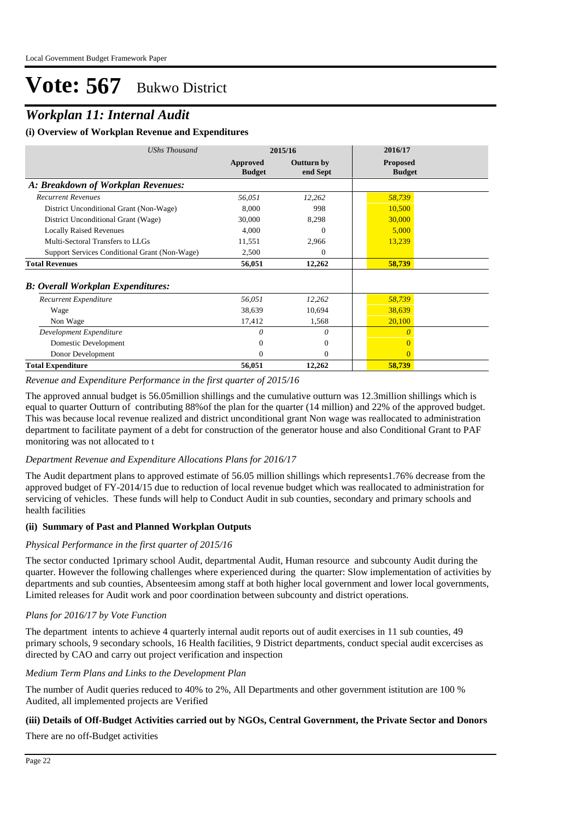## *Workplan 11: Internal Audit*

#### **(i) Overview of Workplan Revenue and Expenditures**

| <b>UShs Thousand</b>                          | 2015/16                   |                        | 2016/17                          |
|-----------------------------------------------|---------------------------|------------------------|----------------------------------|
|                                               | Approved<br><b>Budget</b> | Outturn by<br>end Sept | <b>Proposed</b><br><b>Budget</b> |
| A: Breakdown of Workplan Revenues:            |                           |                        |                                  |
| <b>Recurrent Revenues</b>                     | 56,051                    | 12,262                 | 58,739                           |
| District Unconditional Grant (Non-Wage)       | 8,000                     | 998                    | 10,500                           |
| District Unconditional Grant (Wage)           | 30,000                    | 8,298                  | 30,000                           |
| <b>Locally Raised Revenues</b>                | 4,000                     | 0                      | 5,000                            |
| Multi-Sectoral Transfers to LLGs              | 11,551                    | 2,966                  | 13,239                           |
| Support Services Conditional Grant (Non-Wage) | 2,500                     | 0                      |                                  |
| <b>Total Revenues</b>                         | 56,051                    | 12,262                 | 58,739                           |
| <b>B: Overall Workplan Expenditures:</b>      |                           |                        |                                  |
| Recurrent Expenditure                         | 56,051                    | 12,262                 | 58,739                           |
| Wage                                          | 38,639                    | 10,694                 | 38,639                           |
| Non Wage                                      | 17,412                    | 1,568                  | 20,100                           |
| Development Expenditure                       | 0                         | $\theta$               | $\Omega$                         |
| Domestic Development                          | 0                         | $\theta$               |                                  |
| Donor Development                             | $\Omega$                  | $\Omega$               | $\Omega$                         |
| <b>Total Expenditure</b>                      | 56,051                    | 12,262                 | 58,739                           |

*Revenue and Expenditure Performance in the first quarter of 2015/16*

The approved annual budget is 56.05million shillings and the cumulative outturn was 12.3million shillings which is equal to quarter Outturn of contributing 88%of the plan for the quarter (14 million) and 22% of the approved budget. This was because local revenue realized and district unconditional grant Non wage was reallocated to administration department to facilitate payment of a debt for construction of the generator house and also Conditional Grant to PAF monitoring was not allocated to t

#### *Department Revenue and Expenditure Allocations Plans for 2016/17*

The Audit department plans to approved estimate of 56.05 million shillings which represents1.76% decrease from the approved budget of FY-2014/15 due to reduction of local revenue budget which was reallocated to administration for servicing of vehicles. These funds will help to Conduct Audit in sub counties, secondary and primary schools and health facilities

#### **(ii) Summary of Past and Planned Workplan Outputs**

#### *Physical Performance in the first quarter of 2015/16*

The sector conducted 1primary school Audit, departmental Audit, Human resource and subcounty Audit during the quarter. However the following challenges where experienced during the quarter: Slow implementation of activities by departments and sub counties, Absenteesim among staff at both higher local government and lower local governments, Limited releases for Audit work and poor coordination between subcounty and district operations.

#### *Plans for 2016/17 by Vote Function*

The department intents to achieve 4 quarterly internal audit reports out of audit exercises in 11 sub counties, 49 primary schools, 9 secondary schools, 16 Health facilities, 9 District departments, conduct special audit excercises as directed by CAO and carry out project verification and inspection

#### *Medium Term Plans and Links to the Development Plan*

The number of Audit queries reduced to 40% to 2%, All Departments and other government istitution are 100 % Audited, all implemented projects are Verified

#### **(iii) Details of Off-Budget Activities carried out by NGOs, Central Government, the Private Sector and Donors**

There are no off-Budget activities